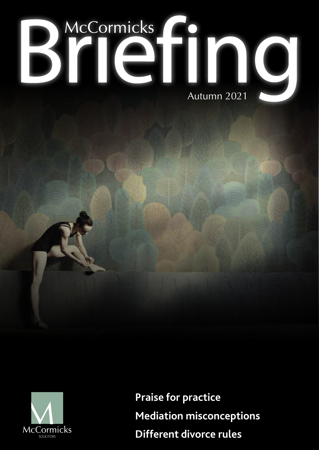



**Praise for practice Mediation misconceptions Different divorce rules**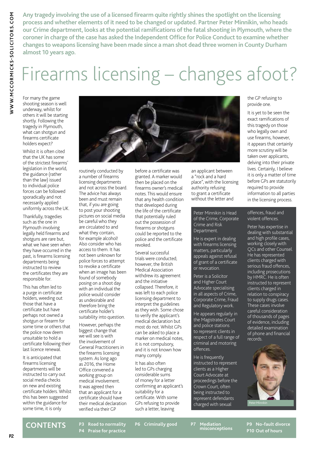**Any tragedy involving the use of a licensed firearm quite rightly shines the spotlight on the licensing process and whether elements of it need to be changed or updated. Partner Peter Minnikin, who heads our Crime department, looks at the potential ramifications of the fatal shooting in Plymouth, where the coroner in charge of the case has asked the Independent Office for Police Conduct to examine whether changes to weapons licensing have been made since a man shot dead three women in County Durham almost 10 years ago.**

## Firearms licensing – changes afoot?

For many the game shooting season is well underway, whilst for others it will be starting shortly. Following the tragedy in Plymouth, what can shotgun and firearms certificate holders expect?

Whilst it is often cited that the UK has some of the strictest firearms' legislation in the world, the guidance (rather than the law) issued to individual police forces can be followed sporadically and not necessarily applied uniformly across the UK.

Thankfully, tragedies such as the one in Plymouth involving legally held firearms and shotguns are rare but, what we have seen when they have occurred in the past, is firearms licensing departments being instructed to review the certificates they are responsible for.

This has often led to a purge in certificate holders, weeding out those that have a certificate but have perhaps not owned a shotgun or firearm for some time or others that the police now deem unsuitable to hold a certificate following their last licence renewal.

It is anticipated that firearms licensing departments will be instructed to carry out social media checks on new and existing certificate holders. Whilst this has been suggested within the guidance for some time, it is only



routinely conducted by a number of firearms licensing departments and not across the board. The advice has always been and must remain that, if you are going to post your shooting pictures on social media be careful who they are circulated to and what they contain, for example alcohol! Also consider who has access to them. It has not been unknown for police forces to attempt to revoke a certificate when an image has been found of somebody posing on a shoot day with an individual the police would consider as undesirable and therefore bring the certificate holder's suitability into question.

However, perhaps the biggest change that we will see is with the involvement of General Practitioners in the firearms licensing system. As long ago as 2016, the Home Office convened a working group on medical involvement. It was agreed then that an applicant for a certificate should have their medical declaration verified via their GP

before a certificate was granted. A marker would then be placed on the firearms owner's medical notes. This would ensure that any health condition that developed during the life of the certificate that potentially ruled out the possession of firearms or shotguns could be reported to the police and the certificate revoked.

Several successful trials were conducted; however, the British Medical Association withdrew its agreement and the initiative collapsed. Therefore, it was left to each police licensing department to interpret the guidelines as they wish. Some chose to verify the applicant's medical declaration but most do not. Whilst GPs can be asked to place a marker on medical notes, it is not compulsory, and it is not known how many comply.

It has also often led to GPs charging considerable sums of money for a letter confirming an applicant's suitability for a certificate. With some GPs refusing to provide such a letter, leaving

an applicant between a "rock and a hard place", with the licensing authority refusing to grant a certificate without the letter and

#### Peter Minnikin is Head of the Crime, Corporate Crime and Risk Department.

He is expert in dealing with firearms licensing matters, particularly appeals against refusal of grant of a certificate or revocation.

Peter is a Solicitor and Higher Court Advocate specialising in all aspects of Crime, Corporate Crime, Fraud and Regulatory work.

He appears regularly in the Magistrates Court and police stations to represent clients in respect of a full range of criminal and motoring offences.

He is frequently instructed to represent clients as a Higher Court Advocate at proceedings before the Crown Court, often being instructed to represent defendants charged with sexual

the GP refusing to provide one.

It is yet to be seen the exact ramifications of this tragedy on those who legally own and use firearms, however, it appears that certainly more scrutiny will be taken over applicants, delving into their private lives. Certainly, I believe it is only a matter of time before GPs are statutorily required to provide information to all parties in the licensing process.

offences, fraud and violent offences.

Peter has expertise in dealing with substantial and high profile cases, working closely with QCs and other Counsel. He has represented clients charged with serious fraud offences, including prosecutions by HMRC. He is often instructed to represent clients charged in relation to conspiracy to supply drugs cases. These cases involve careful consideration of thousands of pages of evidence, including detailed examination of phone and financial records.



**CONTENTS**

**P6** Criminally good **misconceptions** **P9 No-fault divorce P10 Out of hours**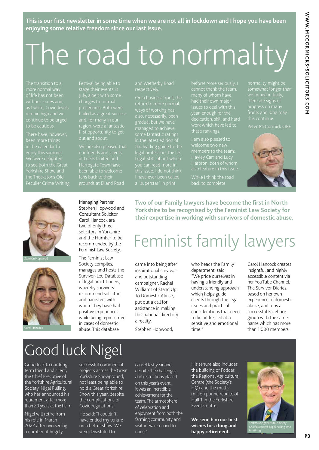**This is our first newsletter in some time when we are not all in lockdown and I hope you have been enjoying some relative freedom since our last issue.**

## The road to normality

continue to be urged to be cautious.

We were delighted

stage their events in changes to normal procedures. Both were

On a business front, the also, necessamy, bee<br>gradual but we have<br>managed to achieve managed to achieve the leading guide to the legal profession, the UK Legal 500, about which you can read more in

dedication, skill and hard

I am also pleased to

we hoped initially, there are signs of progress on many

Peter McCormick OBE







Managing Partner Stephen Hopwood and Consultant Solicitor Carol Hancock are two of only three solicitors in Yorkshire and the Humber to be recommended by the Feminist Law Society.

The Feminist Law Society compiles, manages and hosts the Survivor-Led Database of legal practitioners, whereby survivors recommend solicitors and barristers with whom they have had positive experiences while being represented in cases of domestic abuse. This database

**Two of our Family lawyers have become the first in North Yorkshire to be recognised by the Feminist Law Society for their expertise in working with survivors of domestic abuse.**

## Feminist family lawyers

came into being after inspirational survivor and outstanding campaigner, Rachel Williams of Stand Up To Domestic Abuse, put out a call for assistance in making this national directory a reality.

Stephen Hopwood,

who heads the Family department, said: "We pride ourselves in having a friendly and understanding approach which helps guide clients through the legal issues and practical considerations that need to be addressed at a sensitive and emotional time."

Carol Hancock creates insightful and highly accessible content via her YouTube Channel, The Survivor Diaries, based on her own experience of domestic abuse, and runs a successful Facebook group with the same name which has more than 1,000 members.

## Good luck Nigel

Good luck to our longterm friend and client, the Chief Executive of the Yorkshire Agricultural Society, Nigel Pulling, who has announced his retirement after more than 20 years at the helm.

Nigel will retire from his role in March 2022 after overseeing a number of hugely

successful commercial projects across the Great Yorkshire Showground, not least being able to hold a Great Yorkshire Show this year, despite the complications of Covid regulations.

He said: "I couldn't have ended my tenure on a better show. We were devastated to

cancel last year and, despite the challenges and restrictions placed on this year's event, it was an incredible achievement for the team. The atmosphere of celebration and enjoyment from both the farming community and visitors was second to none."

His tenure also includes the building of Fodder, the Regional Agricultural Centre (the Society's HQ) and the multimillion pound rebuild of Hall 1 in the Yorkshire Event Centre.

**We send him our best wishes for a long and happy retirement.**



Chief Executive Nigel Pulling who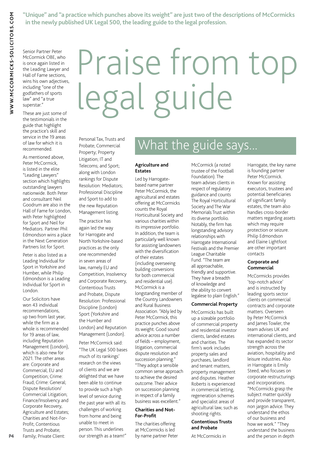**"Unique" and "a practice which punches above its weight" are just two of the descriptions of McCormicks in the newly published UK Legal 500, the leading guide to the legal profession.**

Senior Partner Peter McCormick OBE, who is once again listed in the Leading Lawyer and Hall of Fame sections, wins his own adjectives, including "one of the godfathers of sports law" and "a true superstar."

These are just some of the testimonials in the guide that highlight the practice's skill and service in the 19 areas of law for which it is recommended.

As mentioned above, Peter McCormick, is listed in the elite "Leading Lawyers" section which highlights outstanding lawyers nationwide. Both Peter and consultant Neil Goodrum are also in the Hall of Fame for London, with Peter highlighted for Sport and Neil for Mediators. Partner Phil Edmondson wins a place in the Next Generation Partners list for Sport.

Peter is also listed as a Leading Individual for Sport in Yorkshire and Humber, while Philip Edmondson is a Leading Individual for Sport in London.

Our Solicitors have won 43 individual recommendations, up two from last year, while the firm as a whole is recommended for 19 areas of law, including Reputation Management (London), which is also new for 2021. The other areas are: Corporate and Commercial; EU and Competition; Crime: Fraud; Crime: General; Dispute Resolution/ Commercial Litigation; Finance/Insolvency and Corporate Recovery, Agriculture and Estates; Charities and Not-For-Profit; Contentious Trusts and Probate; Family; Private Client:

# Praise from top legal guide

Personal Tax, Trusts and Probate; Commercial Property; Property Litigation; IT and Telecoms; and Sport; along with London rankings for Dispute Resolution: Mediators; Professional Discipline and Sport to add to the new Reputation Management listing.

The practice has again led the way for Harrogate and North Yorkshire-based practices as the only one recommended in seven areas of law, namely EU and Competition, Insolvency and Corporate Recovery, Contentious Trusts and Probate, Dispute Resolution: Professional Discipline (London) Sport (Yorkshire and the Humber and London) and Reputation Management (London).

Peter McCormick said: "The UK Legal 500 bases much of its rankings' research on the views of clients and we are delighted that we have been able to continue to provide such a high level of service during the past year with all its challenges of working from home and being unable to meet in person. This underlines our strength as a team!"

## What the guide says...

#### **Agriculture and Estates**

Led by Harrogatebased name partner Peter McCormick, the agricultural and estates offering at McCormicks counts the Royal Horticultural Society and various charities within its impressive portfolio. In addition, the team is particularly well known for assisting landowners with the diversification of their estates (including overseeing building conversions for both commercial and residential use). McCormick is a longstanding member of the Country Landowners and Rural Business Association. "Ably led by Peter McCormick, this practice punches above its weight. Good sound advice across a number of fields – employment, litigation, commercial dispute resolution and succession planning." "They adopt a sensible common sense approach to achieve the desired outcome. Their advice on succession planning in respect of a family business was excellent."

#### **Charities and Not-For-Profit**

The charities offering at McCormicks is led by name partner Peter McCormick (a noted trustee of the Football Foundation). The team advises clients in respect of regulatory guidance and counts The Royal Horticultural Society and The War Memorials Trust within its diverse portfolio. Notably, the firm has longstanding advisory relationships with Harrogate International Festivals and the Premier League Charitable Fund. "The team are all approachable, friendly and supportive. They have a breadth of knowledge and the ability to convert legalese to plain English."

#### **Commercial Property**

McCormicks has built up a sizeable portfolio of commercial property and residential investor clients, landed estates and charities. The firm's work includes property sales and purchases, landlord and tenant matters, property management and disputes. Heather Roberts is experienced in commercial letting, regeneration schemes and specialist areas of agricultural law, such as shooting rights.

#### **Contentious Trusts and Probate**

At McCormicks in

Harrogate, the key name is founding partner Peter McCormick. Known for assisting executors, trustees and potential beneficiaries of significant family estates, the team also handles cross-border matters regarding assets which may require protection or seizure. Philip Edmondson and Elaine Lightfoot are other important contacts

#### **Corporate and Commercial**

McCormicks provides 'top-notch advice' and is instructed by leading sports sector clients on commercial contracts and corporate matters. Overseen by Peter McCormick and James Towler, the team advises UK and international clients, and has expanded its sector strength across the aviation, hospitality and leisure industries. Also in Harrogate is Emily Steed, who focuses on corporate restructurings and incorporations. "McCormicks grasp the subject matter quickly and provide transparent, non jargon advice. They understand the ethos of our business and how we work." "They understand the business and the person in depth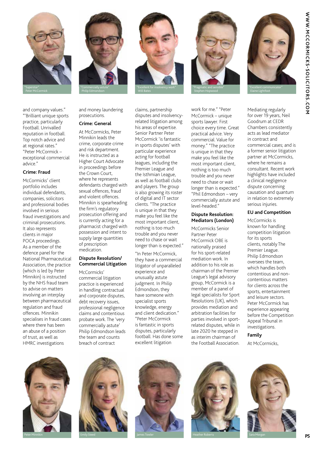

and company values." "'Brilliant unique sports practice, particularly Football. Unrivalled reputation in football. Top notch advice and at regional rates." "Peter McCormick – exceptional commercial advice."

#### **Crime: Fraud**

McCormicks' client portfolio includes individual defendants, companies, solicitors and professional bodies involved in serious fraud investigations and criminal prosecutions. It also represents clients in major POCA proceedings. As a member of the defence panel for the National Pharmaceutical Association, the practice (which is led by Peter Minnikin) is instructed by the NHS fraud team to advise on matters involving an interplay between pharmaceutical regulation and fraud offences. Minnikin specialises in fraud cases where there has been an abuse of a position of trust, as well as HMRC investigations



and money laundering prosecutions.

#### **Crime: General**

At McCormicks, Peter Minnikin leads the crime, corporate crime and risk department. He is instructed as a Higher Court Advocate in proceedings before the Crown Court, where he represents defendants charged with sexual offences, fraud and violent offences. Minnikin is spearheading the firm's regulatory prosecution offering and is currently acting for a pharmacist charged with possession and intent to supply large quantities of prescription medication.

#### **Dispute Resolution/ Commercial Litigation**

McCormicks' commercial litigation practice is experienced in handling contractual and corporate disputes, debt recovery issues, professional negligence claims and contentious probate work. The 'very commercially astute' Philip Edmondson leads the team and counts breach of contract

claims, partnership disputes and insolvencyrelated litigation among his areas of expertise. Senior Partner Peter McCormick 'is fantastic in sports disputes' with particular experience acting for football leagues, including the Premier League and the Isthmian League, as well as football clubs and players. The group is also growing its roster of digital and IT sector clients. "The practice is unique in that they make you feel like the most important client, nothing is too much trouble and you never need to chase or wait longer than is expected."

"In Peter McCormick, they have a commercial litigator of unparalleled experience and unusually astute judgment. In Philip Edmondson, they have someone with specialist sports knowledge, energy and client dedication." "Peter McCormick is fantastic in sports disputes, particularly football. Has done some excellent litigation



work for me." "Peter McCormick – unique sports lawyer. First choice every time. Great practical advice. Very commercial. Value for money." "The practice is unique in that they make you feel like the most important client, nothing is too much trouble and you never need to chase or wait longer than is expected." "Phil Edmondson – very commercially astute and level-headed."

#### **Dispute Resolution: Mediators (London)**

McCormicks Senior Partner Peter McCormick OBE is nationally praised for his sport-related mediation work. In addition to his role as chairman of the Premier League's legal advisory group, McCormick is a member of a panel of legal specialists for Sport Resolutions (UK), which provides mediation and arbitration facilities for parties involved in sportrelated disputes, while in late 2020 he stepped in as interim chairman of the Football Association.



#### **EU and Competition**

McCormicks is known for handling competition litigation for its sports clients, notably The Premier League. Philip Edmondson oversees the team, which handles both contentious and noncontentious matters for clients across the sports, entertainment and leisure sectors. Peter McCormick has experience appearing before the Competition Appeal Tribunal in investigations.

#### **Family**

At McCormicks,









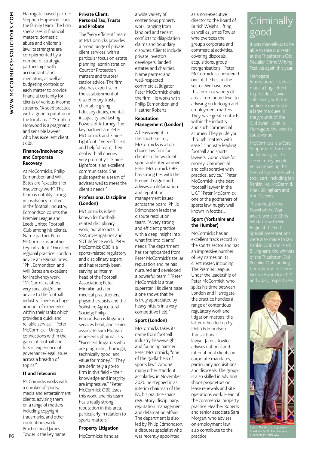Harrogate-based partner Stephen Hopwood leads the family team. The firm specialises in financial matters, domestic abuse and children's law. Its strengths are complemented by a number of strategic partnerships with accountants and mediators, as well as budgeting controls on each matter to provide financial certainty for clients of various income streams. "A solid practice with a good reputation in the local area." "Stephen Hopwood is a pragmatic and sensible lawyer who has excellent client skills."

#### **Finance/Insolvency and Corporate Recovery**

At McCormicks, Philip Edmondson and Will Bates are "excellent for insolvency work". The team is notably strong in insolvency matters in the football industry; Edmondson counts the Premier League and Leeds United Football Club among his clients. Name partner Peter McCormick is another key individual. "Excellent regional practice. London advice at regional rates. "Phil Edmondson and Will Bates are excellent for insolvency work." "McCormicks offers very specialist/niche advice to the football industry. There is a huge amount of experience within their ranks which provides a quick and reliable service." "Peter McCormick – Unique connections within the game of football and lots of experience of governance/legal issues across a breadth of topics."

#### **IT and Telecoms**

McCormicks works with a number of sports, media and entertainment clients, advising them on a range of matters including copyright, trademarks, and other contentious work. Practice head James Towler is the key name.

#### **Private Client: Personal Tax, Trusts and Probate**

The "very efficient" team at McCormicks provides a broad range of private client services, with a particular focus on estate planning, administration, Court of Protection matters and trustee/ settlor advice. The firm also has expertise in the establishment of discretionary trusts, charitable giving, fiduciary duties, mental incapacity and lasting Powers of Attorney. The key partners are Peter McCormick and Elaine Lightfoot. "Very efficient and helpful team, they deal with all queries very promptly." "Elaine Lightfoot is an excellent communicator. She pulls together a team of advisers well to meet the client's needs."

#### **Professional Discipline (London)**

McCormicks is best known for footballrelated disciplinary work, but also acts in SRA investigations and SDT defence work. Peter McCormick OBE is a sports-related regulatory and disciplinary expert and has recently been serving as interim head of the Football Association; Peter Minnikin acts for medical practitioners, physiotherapists and the Yorkshire Agricultural Society; Philip Edmondson is litigation services head; and senior associate Sara Morgan represents pharmacists. "Excellent litigators who are pragmatic, thorough, technically good, and value for money." "They are definitely a go-to firm in this field – their knowledge and integrity are impressive." "Peter McCormick OBE leads this work, and his team has a really strong reputation in this area, particularly in relation to sports matters."

#### **Property Litigation**

McCormicks handles

a wide variety of contentious property work, ranging from landlord and tenant conflicts to dilapidation claims and boundary disputes. Clients include private investors, developers, landed estates and charities. Name partner and well-respected commercial litigator Peter McCormick chairs the firm. He works with Philip Edmondson and Heather Roberts.

#### **Reputation Management (London)**

A heavyweight in the sports sector, McCormicks is a top choice law firm for clients in the world of sport and entertainment. Peter McCormick OBE has strong ties with the Premier League and advises on defamation and reputation management issues across the board. Philip Edmondson leads the dispute resolution team. "A very strong and efficient practice with a deep insight into what fits into clients' needs. The department has springboarded from Peter McCormick's stellar reputation and he has nurtured and developed a powerful team." "Peter McCormick is a true superstar. His client base alone shows that he is truly appreciated by heavy hitters in a very competitive field."

#### **Sport (London)**

McCormicks takes its name from football industry heavyweight and founding partner Peter McCormick, "one of the godfathers of sports law". Among many other standout accolades, in November 2020 he stepped in as interim chairman of the FA; his practice spans regulatory, disciplinary, reputation management and defamation affairs. The department is also led by Philip Edmondson, a disputes specialist who was recently appointed

as a non-executive director to the Board of British Weight Lifting, as well as James Towler who oversees the group's corporate and commercial activities, covering disposals, acquisitions, group reorganisations. "Peter McCormick is considered one of the best in the sector. We have used this firm in a variety of areas from board level to advising on furlough and employment matters. They have great contacts within the industry and such commercial acumen. They guide you through matters with ease." "Industry leading football and sports lawyers. Good value for money. Commercial and collaborative with practical advice." "Peter McCormick is the best football lawyer in the UK." "Peter McCormick: one of the godfathers of sports law, hugely well known in football."

#### **Sport (Yorkshire and the Humber)**

McCormicks has an excellent track record in the sports sector and has an impressive number of key names on its client roster, including The Premier League. Under the leadership of Peter McCormick, who splits his time between London and Harrogate, the practice handles a range of contentious regulatory work and litigation matters; the latter is headed up by Philip Edmondson. Transactional lawyer James Towler advises national and international clients on corporate mandates, particularly acquisitions and disposals. The group is also skilled in advising shoot proprietors on lease renewals and site operations work. Head of the commercial property practice Heather Roberts and senior associate Sara Morgan, who advises on employment law, also contribute to the practice.

### **Criminally** good

**Harrogate** made a huge effort Old Swan Hotel in

McCormicks is a Core Supporter of the event supporter of the set<br>and it was great to

Begin at the End. Rankin OBE and Mark of the Theakston Old or the meakston Ota<br>Peculier Outstanding Contribution to Crime Fiction Award for 2021 and 2020, respectively



proceedings under way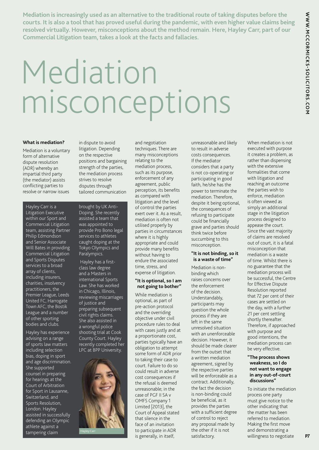**Mediation is increasingly used as an alternative to the traditional route of taking disputes before the courts. It is also a tool that has proved useful during the pandemic, with even higher value claims being resolved virtually. However, misconceptions about the method remain. Here, Hayley Carr, part of our Commercial Litigation team, takes a look at the facts and fallacies.**

## Mediation misconceptions

#### **What is mediation?**

Mediation is a voluntary form of alternative dispute resolution (ADR) whereby an impartial third party (the mediator) assists conflicting parties to resolve or narrow issues

Hayley Carr is a Litigation Executive within our Sport and Commercial Litigation team, assisting Partner Philip Edmondson and Senior Associate Will Bates in providing Commercial Litigation and Sports Disputes services to a broad array of clients, including insurers, charities, insolvency practitioners, the Premier League, Leeds United FC, Harrogate Town AFC, the Bostik League and a number of other sporting bodies and clubs.

Hayley has experience advising on a range of sports law matters including selection bias, doping in sport and age discrimination. She supported counsel in preparing for hearings at the Court of Arbitration for Sport in Lausanne, Switzerland, and Sports Resolution, London. Hayley assisted in successfully defending an Olympic athlete against a tampering claim

in dispute to avoid litigation. Depending on the respective positions and bargaining strength of the parties, the mediation process strives to resolve disputes through tailored communication

brought by UK Anti-Doping. She recently assisted a team that was appointed to provide Pro Bono legal services to athletes caught doping at the Tokyo Olympics and Paralympics.

 Hayley has a firstclass law degree and a Masters in international Sports Law. She has worked in Chicago, Illinois, reviewing miscarriages of justice and preparing subsequent civil rights claims. She also assisted in a wrongful police shooting trial at Cook County Court. Hayley recently completed her LPC at BPP University.



and negotiation techniques. There are many misconceptions relating to the mediation process, such as its purpose, enforcement of any agreement, public perception, its benefits as compared with litigation and the level of control the parties exert over it. As a result, mediation is often not utilised properly by parties in circumstances where it is highly appropriate and could provide many benefits without having to endure the associated time, stress, and expense of litigation.

#### **"It is optional, so I am not going to bother"**

While mediation is optional, as part of pre-action protocol and the overriding objective under civil procedure rules to deal with cases justly and at a proportionate cost, parties typically have an obligation to attempt some form of ADR prior to taking their case to court. Failure to do so could result in adverse cost consequences if the refusal is deemed unreasonable; in the case of PGF II SA v OMFS Company 1 Limited [2013], the Court of Appeal stated that silence in the face of an invitation to participate in ADR is generally, in itself,

unreasonable and likely to result in adverse costs consequences. If the mediator considers that a party is not co-operating or participating in good faith, he/she has the power to terminate the mediation. Therefore, despite it being optional, the consequences of refusing to participate could be financially grave and parties should think twice before succumbing to this misconception.

#### **"It is not binding, so it is a waste of time"**

Mediation is nonbinding which raises concerns over the enforcement of the decision. Understandably, participants may question the whole process if they are left in the same unresolved situation with an unenforceable decision. However, it should be made clearer from the outset that a written mediation agreement, signed by the respective parties will be enforceable as a contract. Additionally, the fact the decision is non-binding could be beneficial, as it provides the parties with a sufficient degree of control to reject any proposal made by the other if it is not satisfactory.

When mediation is not executed with purpose it creates a problem, as rather than dispensing with the extensive formalities that come with litigation and reaching an outcome the parties wish to enforce, mediation is often viewed as simply an additional stage in the litigation process designed to appease the court. Since the vast majority of claims are resolved out of court, it is a fatal misconception that mediation is a waste of time. Whilst there is no guarantee that the mediation process will be successful, the Centre for Effective Dispute Resolution reported that 72 per cent of their cases are settled on the day, with a further 21 per cent settling shortly thereafter. Therefore, if approached with purpose and good intentions, the mediation process can be very effective.

#### **"The process shows weakness, so I do not want to engage in any out-of-court discussions"**

To initiate the mediation process one party must give notice to the other indicating that the matter has been referred to mediation. Making the first move and demonstrating a willingness to negotiate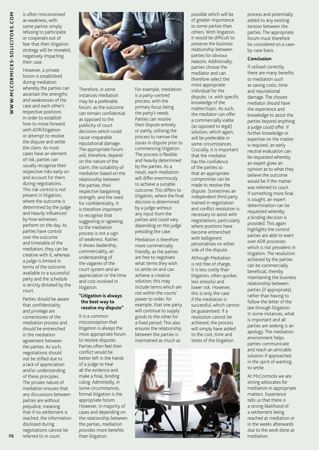is often misconceived as weakness, with some parties simply refusing to participate or cooperate out of fear that their litigation strategy will be revealed, negatively impacting their case.

However, a private forum is established during mediation whereby the parties can ascertain the strengths and weaknesses of the case and each other's respective positions in order to establish how to move forward with ADR/litigation or attempt to resolve the dispute and settle the claim. As most cases have an element of risk, parties can usually recognise their respective risks early on and account for them during negotiations. This risk control is not present in litigation, where the outcome is determined by the judge and heavily influenced by how witnesses perform on the day. As parties have control over the outcome and timetable of the mediation, they can be creative with it, whereas a judge is limited in terms of the outcome available to a successful party and the schedule is strictly dictated by the court.

Parties should be aware that confidentiality and privilege are cornerstones of the mediation process and should be entrenched in the mediation agreement between the parties. As such, negotiations should not be stifled due to a lack of appreciation and/or understanding of these principles. The private nature of mediation ensures that any discussions between parties are without prejudice, meaning that if no settlement is reached, the information disclosed during negotiations cannot be referred to in court.



Therefore, in some instances mediation may be a preferable forum, as the outcome can remain confidential as opposed to the publicity of court decisions which could cause irreparable reputational damage. The appropriate forum will, therefore, depend on the nature of the claim, the suitability of mediation based on the relationship between the parties, their respective bargaining strength, and the need for confidentiality. It is therefore important to recognise that suggesting or agreeing to the mediation process is not a sign of weakness. Rather, it shows leadership, commerciality, an understanding of the vagaries of the court system and an appreciation or the time and cost involved in litigation.

#### **"Litigation is always the best way to resolve my dispute"**

It is a common misconception that litigation is always the most appropriate forum to resolve disputes. Parties often feel their conflict would be better left in the hands of a judge to hear all the evidence and make a final, binding ruling. Admittedly, in some circumstances, formal litigation is the appropriate forum. However, in majority of cases and depending on the relationship between the parties, mediation provides more benefits than litigation.

For example, mediation is a party-centred process, with the primary focus being the party's needs. Parties can resolve their dispute entirely or partly, utilising the process to narrow the issues in dispute prior to commencing litigation. The process is flexible and heavily determined by the parties. As a result, each mediation will differ enormously to achieve a suitable outcome. This differs to litigation, where the final decision is determined by a judge without any input from the parties and could vary depending on the judge presiding the case.

Mediation is therefore more commercially friendly, as the parties are free to negotiate what terms they wish to settle on and can achieve a creative solution; this may include terms which are not within the courts' power to order, for example, that one party will continue to supply goods to the other for a fixed period. This also ensures the relationship between the parties is maintained as much as

possible which will be of greater importance to some parties than others. With litigation, it would be difficult to preserve the business relationship between parties for obvious reasons. Additionally, parties choose the mediator and can therefore select the most appropriate individual for the dispute, i.e. with specific knowledge of the matter/topic. As such, the mediator can offer a commercially viable (as opposed to legal) solution, which again, will be preferable in some circumstances. Crucially, it is important that the mediator has the confidence of the parties so that an appropriate compromise can be made to resolve the dispute. Sometimes an independent third party trained in negotiation and conflict resolution is necessary to assist with negotiations, particularly where positions have become entrenched with belligerent personalities on either side of the dispute.

Although Mediation is not free of charge, it is less costly than litigation, often quicker, less stressful and lower risk. However, this is only the case if the mediation is successful, which cannot be guaranteed. If a resolution cannot be achieved, the process will simply have added to the cost, time and stress of the litigation



process and potentially added to any existing tension between the parties. The appropriate forum must therefore be considered on a caseby-case basis.

#### **Conclusion**

If utilised correctly, there are many benefits to mediation such as saving costs, time and reputational damage. The chosen mediator should have the experience and knowledge to assist the parties beyond anything a judge could offer. If further knowledge or expertise on the matter is required, an early neutral evaluation can be requested whereby an expert gives an opinion as to what they believe the outcome would be if the matter was referred to court. If something more final is sought, an expert determination can be requested whereby a binding decision is provided. This again highlights the control parties are able to exert over ADR processes which is not prevalent in litigation. The resolution achieved by the parties can be commercially beneficial, thereby maintaining the business relationship between parties (if appropriate) rather than having to follow the letter of the law through litigation. In some instances, what is important and all parties are seeking is an apology. The mediation environment helps parties communicate and reach an amicable solution if approached in the spirit of wanting to settle.

At McCormicks we are strong advocates for mediation in appropriate matters. Experience tells us that there is a strong likelihood of a settlement being reached at mediation or in the weeks afterwards due to the work done at mediation.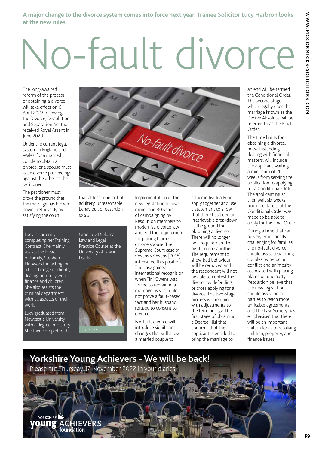#### **A major change to the divorce system comes into force next year. Trainee Solicitor Lucy Harbron looks at the new rules.**

# No-fault divorce

The long-awaited reform of the process of obtaining a divorce will take effect on 6 April 2022 following the Divorce, Dissolution and Separation Act that received Royal Assent in June 2020.

Under the current legal system in England and Wales, for a married couple to obtain a divorce, one spouse must issue divorce proceedings against the other as the petitioner.

The petitioner must prove the ground that the marriage has broken down irretrievably by satisfying the court



Implementation of the new legislation follows

that at least one fact of adultery, unreasonable behaviour, or desertion exists.

Lucy is currently completing her Training Contract. She mainly assists the Head of Family, Stephen Hopwood, in acting for a broad range of clients, dealing primarily with finance and children. She also assists the criminal department with all aspects of their work.

Lucy graduated from Newcastle University with a degree in History. She then completed the

Graduate Diploma Law and Legal Practice Course at the University of Law in Leeds.



more than 30 years of campaigning by Resolution members to modernise divorce law and end the requirement for placing blame on one spouse. The Supreme Court case of Owens v Owens [2018] intensified this position. The case gained international recognition when Tini Owens was forced to remain in a marriage as she could not prove a fault-based fact and her husband refused to consent to divorce.

No-fault divorce will introduce significant changes that will allow a married couple to

either individually or apply together and use a statement to show that there has been an irretrievable breakdown as the ground for obtaining a divorce. There will no longer be a requirement to petition one another. The requirement to show bad behaviour will be removed and the respondent will not be able to contest the divorce by defending or cross applying for a divorce. The two-stage process will remain with adjustments to the terminology. The first stage of obtaining a Decree Nisi that confirms that the applicant is entitled to bring the marriage to

an end will be termed the Conditional Order. The second stage which legally ends the marriage known as the Decree Absolute will be referred to as the Final Order.

The time limits for obtaining a divorce, notwithstanding dealing with financial matters, will include the applicant waiting a minimum of 20 weeks from serving the application to applying for a Conditional Order. The applicant must then wait six weeks from the date that the Conditional Order was made to be able to apply for the Final Order.

During a time that can be very emotionally challenging for families, the no-fault divorce should assist separating couples by reducing conflict and animosity associated with placing blame on one party. Resolution believe that the new legislation should assist both parties to reach more amicable agreements and The Law Society has emphasised that there will be an important shift in focus to resolving children, property, and finance issues.